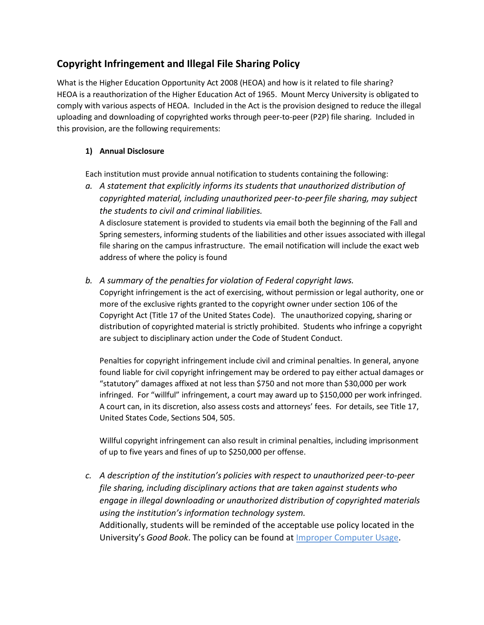# **Copyright Infringement and Illegal File Sharing Policy**

What is the Higher Education Opportunity Act 2008 (HEOA) and how is it related to file sharing? HEOA is a reauthorization of the Higher Education Act of 1965. Mount Mercy University is obligated to comply with various aspects of HEOA. Included in the Act is the provision designed to reduce the illegal uploading and downloading of copyrighted works through peer-to-peer (P2P) file sharing. Included in this provision, are the following requirements:

### **1) Annual Disclosure**

Each institution must provide annual notification to students containing the following:

*a. A statement that explicitly informs its students that unauthorized distribution of copyrighted material, including unauthorized peer-to-peer file sharing, may subject the students to civil and criminal liabilities.*

A disclosure statement is provided to students via email both the beginning of the Fall and Spring semesters, informing students of the liabilities and other issues associated with illegal file sharing on the campus infrastructure. The email notification will include the exact web address of where the policy is found

*b. A summary of the penalties for violation of Federal copyright laws.*

Copyright infringement is the act of exercising, without permission or legal authority, one or more of the exclusive rights granted to the copyright owner under section 106 of the Copyright Act (Title 17 of the United States Code). The unauthorized copying, sharing or distribution of copyrighted material is strictly prohibited. Students who infringe a copyright are subject to disciplinary action under the Code of Student Conduct.

Penalties for copyright infringement include civil and criminal penalties. In general, anyone found liable for civil copyright infringement may be ordered to pay either actual damages or "statutory" damages affixed at not less than \$750 and not more than \$30,000 per work infringed. For "willful" infringement, a court may award up to \$150,000 per work infringed. A court can, in its discretion, also assess costs and attorneys' fees. For details, see Title 17, United States Code, Sections 504, 505.

Willful copyright infringement can also result in criminal penalties, including imprisonment of up to five years and fines of up to \$250,000 per offense.

*c. A description of the institution's policies with respect to unauthorized peer-to-peer file sharing, including disciplinary actions that are taken against students who engage in illegal downloading or unauthorized distribution of copyrighted materials using the institution's information technology system.* Additionally, students will be reminded of the acceptable use policy located in the University's *Good Book*. The policy can be found at Improper [Computer](http://catalog.mtmercy.edu/thegoodbook/codeofconduct/#generalstandardsofconducttext) Usage.